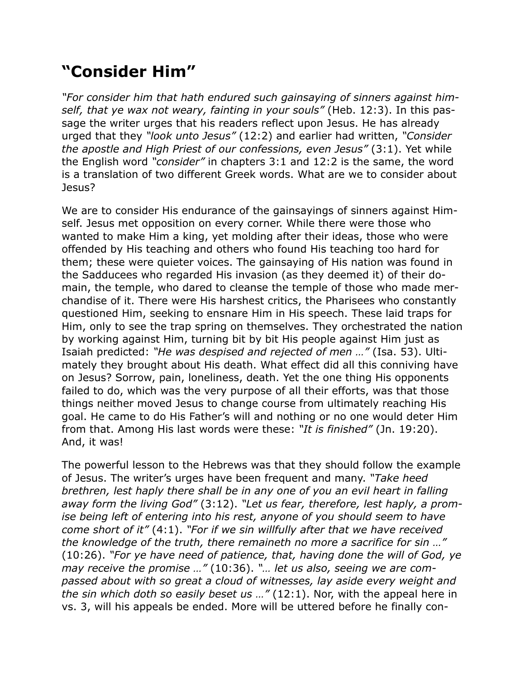## **"Consider Him"**

*"For consider him that hath endured such gainsaying of sinners against himself, that ye wax not weary, fainting in your souls"* (Heb. 12:3). In this passage the writer urges that his readers reflect upon Jesus. He has already urged that they *"look unto Jesus"* (12:2) and earlier had written, *"Consider the apostle and High Priest of our confessions, even Jesus"* (3:1). Yet while the English word *"consider"* in chapters 3:1 and 12:2 is the same, the word is a translation of two different Greek words. What are we to consider about Jesus?

We are to consider His endurance of the gainsayings of sinners against Himself. Jesus met opposition on every corner. While there were those who wanted to make Him a king, yet molding after their ideas, those who were offended by His teaching and others who found His teaching too hard for them; these were quieter voices. The gainsaying of His nation was found in the Sadducees who regarded His invasion (as they deemed it) of their domain, the temple, who dared to cleanse the temple of those who made merchandise of it. There were His harshest critics, the Pharisees who constantly questioned Him, seeking to ensnare Him in His speech. These laid traps for Him, only to see the trap spring on themselves. They orchestrated the nation by working against Him, turning bit by bit His people against Him just as Isaiah predicted: *"He was despised and rejected of men …"* (Isa. 53). Ultimately they brought about His death. What effect did all this conniving have on Jesus? Sorrow, pain, loneliness, death. Yet the one thing His opponents failed to do, which was the very purpose of all their efforts, was that those things neither moved Jesus to change course from ultimately reaching His goal. He came to do His Father's will and nothing or no one would deter Him from that. Among His last words were these: *"It is finished"* (Jn. 19:20). And, it was!

The powerful lesson to the Hebrews was that they should follow the example of Jesus. The writer's urges have been frequent and many. *"Take heed brethren, lest haply there shall be in any one of you an evil heart in falling away form the living God"* (3:12). *"Let us fear, therefore, lest haply, a promise being left of entering into his rest, anyone of you should seem to have come short of it"* (4:1). *"For if we sin willfully after that we have received the knowledge of the truth, there remaineth no more a sacrifice for sin …"* (10:26). *"For ye have need of patience, that, having done the will of God, ye may receive the promise …"* (10:36). *"… let us also, seeing we are compassed about with so great a cloud of witnesses, lay aside every weight and the sin which doth so easily beset us …"* (12:1). Nor, with the appeal here in vs. 3, will his appeals be ended. More will be uttered before he finally con-